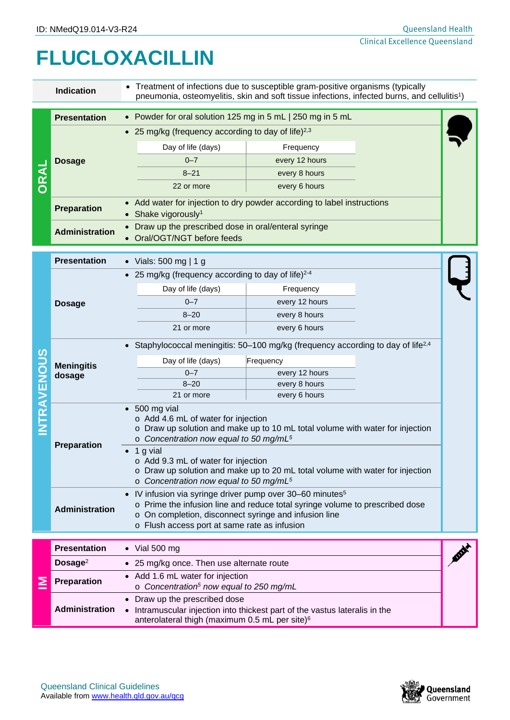## **FLUCLOXACILLIN**

| <b>Indication</b> |                             | Treatment of infections due to susceptible gram-positive organisms (typically<br>pneumonia, osteomyelitis, skin and soft tissue infections, infected burns, and cellulitis <sup>1</sup> )                                                                                  |                |  |  |  |
|-------------------|-----------------------------|----------------------------------------------------------------------------------------------------------------------------------------------------------------------------------------------------------------------------------------------------------------------------|----------------|--|--|--|
|                   | <b>Presentation</b>         | • Powder for oral solution 125 mg in 5 mL   250 mg in 5 mL                                                                                                                                                                                                                 |                |  |  |  |
|                   |                             | • 25 mg/kg (frequency according to day of life) <sup>2,3</sup>                                                                                                                                                                                                             |                |  |  |  |
|                   | <b>Dosage</b>               | Day of life (days)                                                                                                                                                                                                                                                         | Frequency      |  |  |  |
|                   |                             | $0 - 7$                                                                                                                                                                                                                                                                    | every 12 hours |  |  |  |
|                   |                             | $8 - 21$                                                                                                                                                                                                                                                                   | every 8 hours  |  |  |  |
|                   |                             | 22 or more                                                                                                                                                                                                                                                                 | every 6 hours  |  |  |  |
|                   | <b>Preparation</b>          | • Add water for injection to dry powder according to label instructions<br>Shake vigorously <sup>1</sup>                                                                                                                                                                   |                |  |  |  |
|                   | <b>Administration</b>       | Draw up the prescribed dose in oral/enteral syringe<br>• Oral/OGT/NGT before feeds                                                                                                                                                                                         |                |  |  |  |
|                   | <b>Presentation</b>         | • Vials: 500 mg   1 g                                                                                                                                                                                                                                                      |                |  |  |  |
|                   |                             | • 25 mg/kg (frequency according to day of life) $2-4$                                                                                                                                                                                                                      |                |  |  |  |
|                   | <b>Dosage</b>               | Day of life (days)                                                                                                                                                                                                                                                         | Frequency      |  |  |  |
|                   |                             | $0 - 7$                                                                                                                                                                                                                                                                    | every 12 hours |  |  |  |
|                   |                             | $8 - 20$                                                                                                                                                                                                                                                                   | every 8 hours  |  |  |  |
|                   |                             | 21 or more                                                                                                                                                                                                                                                                 | every 6 hours  |  |  |  |
|                   |                             | Staphylococcal meningitis: 50–100 mg/kg (frequency according to day of life <sup>2,4</sup>                                                                                                                                                                                 |                |  |  |  |
|                   | <b>Meningitis</b><br>dosage | Day of life (days)                                                                                                                                                                                                                                                         | Frequency      |  |  |  |
|                   |                             | $0 - 7$                                                                                                                                                                                                                                                                    | every 12 hours |  |  |  |
|                   |                             | $8 - 20$                                                                                                                                                                                                                                                                   | every 8 hours  |  |  |  |
| <b>NTRAVENOUS</b> |                             | 21 or more                                                                                                                                                                                                                                                                 | every 6 hours  |  |  |  |
|                   | Preparation                 | $\bullet$ 500 mg vial<br>o Add 4.6 mL of water for injection<br>o Draw up solution and make up to 10 mL total volume with water for injection<br>$\circ$ Concentration now equal to 50 mg/mL <sup>5</sup>                                                                  |                |  |  |  |
|                   |                             | 1 g vial<br>o Add 9.3 mL of water for injection<br>o Draw up solution and make up to 20 mL total volume with water for injection<br>$\circ$ Concentration now equal to 50 mg/mL <sup>5</sup>                                                                               |                |  |  |  |
|                   | <b>Administration</b>       | • IV infusion via syringe driver pump over 30–60 minutes <sup>5</sup><br>Prime the infusion line and reduce total syringe volume to prescribed dose<br>$\circ$<br>On completion, disconnect syringe and infusion line<br>O<br>o Flush access port at same rate as infusion |                |  |  |  |
|                   | <b>Presentation</b>         |                                                                                                                                                                                                                                                                            |                |  |  |  |
|                   |                             | $\bullet$ Vial 500 mg                                                                                                                                                                                                                                                      |                |  |  |  |
|                   | Dosage <sup>2</sup>         | • 25 mg/kg once. Then use alternate route                                                                                                                                                                                                                                  |                |  |  |  |
| ≧                 | Preparation                 | • Add 1.6 mL water for injection<br>o Concentration <sup>5</sup> now equal to 250 mg/mL                                                                                                                                                                                    |                |  |  |  |
|                   | <b>Administration</b>       | • Draw up the prescribed dose<br>• Intramuscular injection into thickest part of the vastus lateralis in the<br>anterolateral thigh (maximum 0.5 mL per site) <sup>6</sup>                                                                                                 |                |  |  |  |

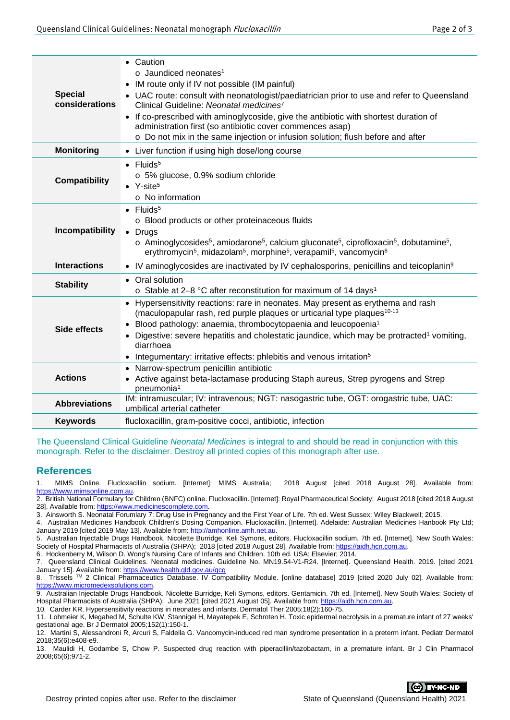| <b>Special</b><br>considerations | Caution<br>$\bullet$<br>$\circ$ Jaundiced neonates <sup>1</sup><br>IM route only if IV not possible (IM painful)<br>$\bullet$<br>UAC route: consult with neonatologist/paediatrician prior to use and refer to Queensland<br>Clinical Guideline: Neonatal medicines <sup>7</sup><br>• If co-prescribed with aminoglycoside, give the antibiotic with shortest duration of<br>administration first (so antibiotic cover commences asap)<br>o Do not mix in the same injection or infusion solution; flush before and after |  |  |  |
|----------------------------------|---------------------------------------------------------------------------------------------------------------------------------------------------------------------------------------------------------------------------------------------------------------------------------------------------------------------------------------------------------------------------------------------------------------------------------------------------------------------------------------------------------------------------|--|--|--|
| <b>Monitoring</b>                | Liver function if using high dose/long course<br>$\bullet$                                                                                                                                                                                                                                                                                                                                                                                                                                                                |  |  |  |
| <b>Compatibility</b>             | $\bullet$ Fluids <sup>5</sup><br>o 5% glucose, 0.9% sodium chloride<br>$\bullet$ Y-site <sup>5</sup><br>$\circ$ No information                                                                                                                                                                                                                                                                                                                                                                                            |  |  |  |
| Incompatibility                  | $\bullet$ Fluids <sup>5</sup><br>o Blood products or other proteinaceous fluids<br>• Drugs<br>$\circ$ Aminoglycosides <sup>5</sup> , amiodarone <sup>5</sup> , calcium gluconate <sup>5</sup> , ciprofloxacin <sup>5</sup> , dobutamine <sup>5</sup> ,<br>erythromycin <sup>5</sup> , midazolam <sup>5</sup> , morphine <sup>5</sup> , verapamil <sup>5</sup> , vancomycin <sup>8</sup>                                                                                                                                   |  |  |  |
| <b>Interactions</b>              | • IV aminoglycosides are inactivated by IV cephalosporins, penicillins and teicoplanin <sup>9</sup>                                                                                                                                                                                                                                                                                                                                                                                                                       |  |  |  |
| <b>Stability</b>                 | Oral solution<br>$\bullet$<br>o Stable at 2-8 °C after reconstitution for maximum of 14 days <sup>1</sup>                                                                                                                                                                                                                                                                                                                                                                                                                 |  |  |  |
| Side effects                     | Hypersensitivity reactions: rare in neonates. May present as erythema and rash<br>(maculopapular rash, red purple plaques or urticarial type plaques <sup>10-13</sup><br>Blood pathology: anaemia, thrombocytopaenia and leucopoenia <sup>1</sup><br>$\bullet$<br>Digestive: severe hepatitis and cholestatic jaundice, which may be protracted <sup>1</sup> vomiting,<br>$\bullet$<br>diarrhoea<br>Integumentary: irritative effects: phlebitis and venous irritation <sup>5</sup>                                       |  |  |  |
| <b>Actions</b>                   | Narrow-spectrum penicillin antibiotic<br>Active against beta-lactamase producing Staph aureus, Strep pyrogens and Strep<br>pneumonia <sup>1</sup>                                                                                                                                                                                                                                                                                                                                                                         |  |  |  |
| <b>Abbreviations</b>             | IM: intramuscular; IV: intravenous; NGT: nasogastric tube, OGT: orogastric tube, UAC:<br>umbilical arterial catheter                                                                                                                                                                                                                                                                                                                                                                                                      |  |  |  |
| <b>Keywords</b>                  | flucloxacillin, gram-positive cocci, antibiotic, infection                                                                                                                                                                                                                                                                                                                                                                                                                                                                |  |  |  |

The Queensland Clinical Guideline *Neonatal Medicines* is integral to and should be read in conjunction with this monograph. Refer to the disclaimer. Destroy all printed copies of this monograph after use.

## **References**

1. MIMS Online. Flucloxacillin sodium. [Internet]: MIMS Australia; 2018 August [cited 2018 August 28]. Available from: [https://www.mimsonline.com.au.](https://www.mimsonline.com.au/)

2. British National Formulary for Children (BNFC) online. Flucloxacillin. [Internet]: Royal Pharmaceutical Society; August 2018 [cited 2018 August 28]. Available from[: https://www.medicinescomplete.com.](https://www.medicinescomplete.com/)

3. Ainsworth S. Neonatal Forumlary 7: Drug Use in Pregnancy and the First Year of Life. 7th ed. West Sussex: Wiley Blackwell; 2015.

4. Australian Medicines Handbook Children's Dosing Companion. Flucloxacillin. [Internet]. Adelaide: Australian Medicines Hanbook Pty Ltd; January 2019 [cited 2019 May 13]. Available from[: http://amhonline.amh.net.au.](http://amhonline.amh.net.au/) 5. Australian Injectable Drugs Handbook. Nicolette Burridge, Keli Symons, editors. Flucloxacillin sodium. 7th ed. [Internet]. New South Wales:

Society of Hospital Pharmacists of Australia (SHPA); 2018 [cited 2018 August 28]. Available from: https://aidh.hcn.com.au 6. Hockenberry M, Wilson D. Wong's Nursing Care of Infants and Children. 10th ed. USA: Elsevier; 2014.

7. Queensland Clinical Guidelines. Neonatal medicines. Guideline No. MN19.54-V1-R24. [Internet]. Queensland Health. 2019. [cited 2021 January 15]. Available from: <u>https://www.health.qld.gov.au/qcg</u>

8. Trissels ™ 2 Clinical Pharmaceutics Database. IV Compatibility Module. [online database] 2019 [cited 2020 July 02]. Available from: [https://www.micromedexsolutions.com.](https://www.micromedexsolutions.com/)

9. Australian Injectable Drugs Handbook. Nicolette Burridge, Keli Symons, editors. Gentamicin. 7th ed. [Internet]. New South Wales: Society of Hospital Pharmacists of Australia (SHPA); June 2021 [cited 2021 August 05]. Available from[: https://aidh.hcn.com.au.](https://aidh.hcn.com.au/)

10. Carder KR. Hypersensitivity reactions in neonates and infants. Dermatol Ther 2005;18(2):160-75.

11. Lohmeier K, Megahed M, Schulte KW, Stannigel H, Mayatepek E, Schroten H. Toxic epidermal necrolysis in a premature infant of 27 weeks' gestational age. Br J Dermatol 2005;152(1):150-1.

12. Martini S, Alessandroni R, Arcuri S, Faldella G. Vancomycin-induced red man syndrome presentation in a preterm infant. Pediatr Dermatol 2018;35(6):e408-e9.

13. Maulidi H, Godambe S, Chow P. Suspected drug reaction with piperacillin/tazobactam, in a premature infant. Br J Clin Pharmacol 2008;65(6):971-2.